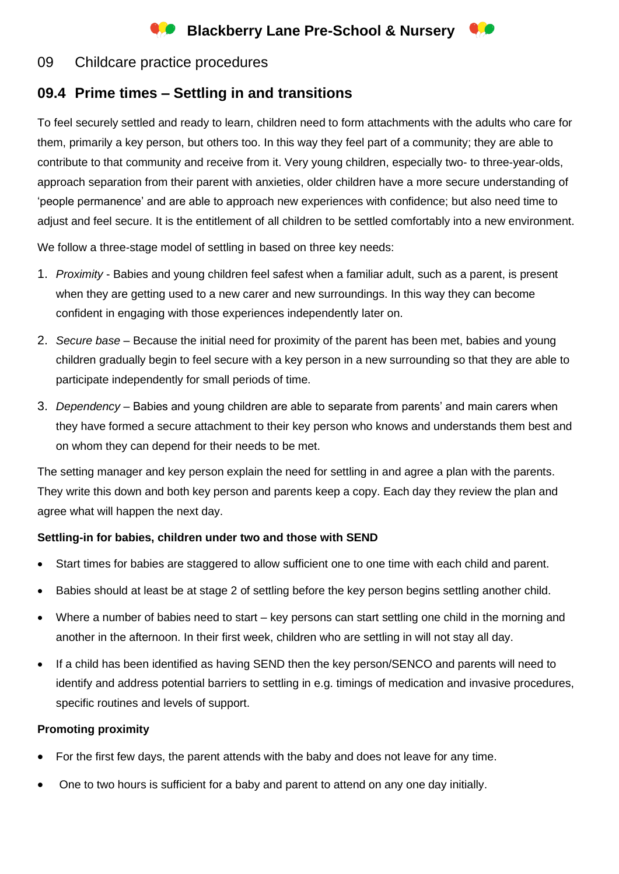# **Conducts** Blackberry Lane Pre-School & Nursery

# 09 Childcare practice procedures

# **09.4 Prime times – Settling in and transitions**

To feel securely settled and ready to learn, children need to form attachments with the adults who care for them, primarily a key person, but others too. In this way they feel part of a community; they are able to contribute to that community and receive from it. Very young children, especially two- to three-year-olds, approach separation from their parent with anxieties, older children have a more secure understanding of 'people permanence' and are able to approach new experiences with confidence; but also need time to adjust and feel secure. It is the entitlement of all children to be settled comfortably into a new environment.

We follow a three-stage model of settling in based on three key needs:

- 1. *Proximity* Babies and young children feel safest when a familiar adult, such as a parent, is present when they are getting used to a new carer and new surroundings. In this way they can become confident in engaging with those experiences independently later on.
- 2. *Secure base* Because the initial need for proximity of the parent has been met, babies and young children gradually begin to feel secure with a key person in a new surrounding so that they are able to participate independently for small periods of time.
- 3. *Dependency* Babies and young children are able to separate from parents' and main carers when they have formed a secure attachment to their key person who knows and understands them best and on whom they can depend for their needs to be met.

The setting manager and key person explain the need for settling in and agree a plan with the parents. They write this down and both key person and parents keep a copy. Each day they review the plan and agree what will happen the next day.

# **Settling-in for babies, children under two and those with SEND**

- Start times for babies are staggered to allow sufficient one to one time with each child and parent.
- Babies should at least be at stage 2 of settling before the key person begins settling another child.
- Where a number of babies need to start key persons can start settling one child in the morning and another in the afternoon. In their first week, children who are settling in will not stay all day.
- If a child has been identified as having SEND then the key person/SENCO and parents will need to identify and address potential barriers to settling in e.g. timings of medication and invasive procedures, specific routines and levels of support.

# **Promoting proximity**

- For the first few days, the parent attends with the baby and does not leave for any time.
- One to two hours is sufficient for a baby and parent to attend on any one day initially.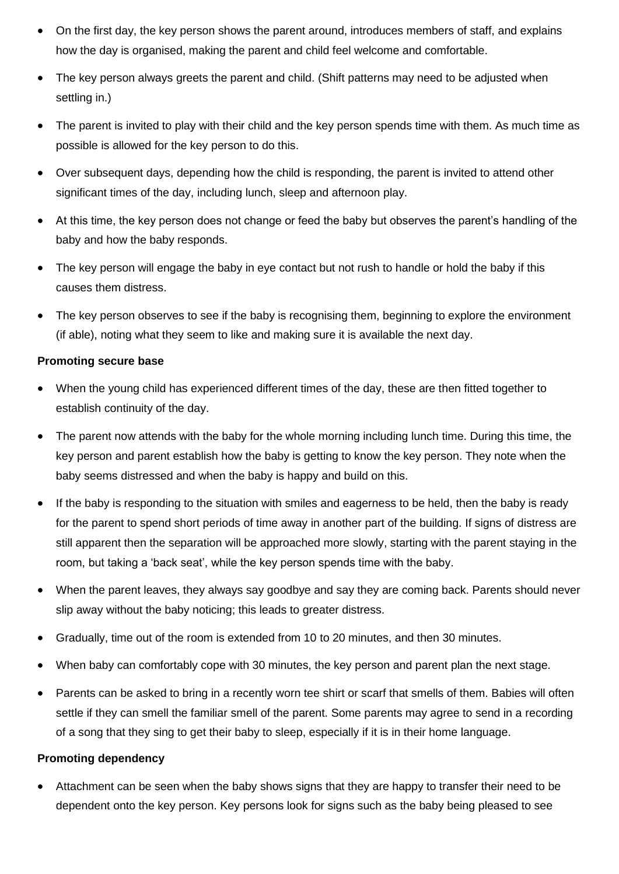- On the first day, the key person shows the parent around, introduces members of staff, and explains how the day is organised, making the parent and child feel welcome and comfortable.
- The key person always greets the parent and child. (Shift patterns may need to be adjusted when settling in.)
- The parent is invited to play with their child and the key person spends time with them. As much time as possible is allowed for the key person to do this.
- Over subsequent days, depending how the child is responding, the parent is invited to attend other significant times of the day, including lunch, sleep and afternoon play.
- At this time, the key person does not change or feed the baby but observes the parent's handling of the baby and how the baby responds.
- The key person will engage the baby in eye contact but not rush to handle or hold the baby if this causes them distress.
- The key person observes to see if the baby is recognising them, beginning to explore the environment (if able), noting what they seem to like and making sure it is available the next day.

#### **Promoting secure base**

- When the young child has experienced different times of the day, these are then fitted together to establish continuity of the day.
- The parent now attends with the baby for the whole morning including lunch time. During this time, the key person and parent establish how the baby is getting to know the key person. They note when the baby seems distressed and when the baby is happy and build on this.
- If the baby is responding to the situation with smiles and eagerness to be held, then the baby is ready for the parent to spend short periods of time away in another part of the building. If signs of distress are still apparent then the separation will be approached more slowly, starting with the parent staying in the room, but taking a 'back seat', while the key person spends time with the baby.
- When the parent leaves, they always say goodbye and say they are coming back. Parents should never slip away without the baby noticing; this leads to greater distress.
- Gradually, time out of the room is extended from 10 to 20 minutes, and then 30 minutes.
- When baby can comfortably cope with 30 minutes, the key person and parent plan the next stage.
- Parents can be asked to bring in a recently worn tee shirt or scarf that smells of them. Babies will often settle if they can smell the familiar smell of the parent. Some parents may agree to send in a recording of a song that they sing to get their baby to sleep, especially if it is in their home language.

# **Promoting dependency**

• Attachment can be seen when the baby shows signs that they are happy to transfer their need to be dependent onto the key person. Key persons look for signs such as the baby being pleased to see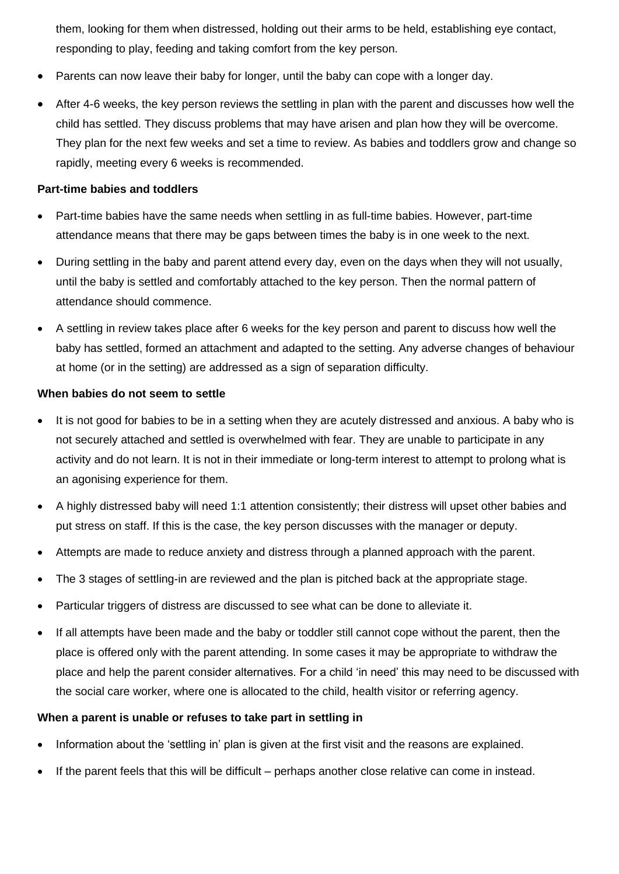them, looking for them when distressed, holding out their arms to be held, establishing eye contact, responding to play, feeding and taking comfort from the key person.

- Parents can now leave their baby for longer, until the baby can cope with a longer day.
- After 4-6 weeks, the key person reviews the settling in plan with the parent and discusses how well the child has settled. They discuss problems that may have arisen and plan how they will be overcome. They plan for the next few weeks and set a time to review. As babies and toddlers grow and change so rapidly, meeting every 6 weeks is recommended.

#### **Part-time babies and toddlers**

- Part-time babies have the same needs when settling in as full-time babies. However, part-time attendance means that there may be gaps between times the baby is in one week to the next.
- During settling in the baby and parent attend every day, even on the days when they will not usually, until the baby is settled and comfortably attached to the key person. Then the normal pattern of attendance should commence.
- A settling in review takes place after 6 weeks for the key person and parent to discuss how well the baby has settled, formed an attachment and adapted to the setting. Any adverse changes of behaviour at home (or in the setting) are addressed as a sign of separation difficulty.

#### **When babies do not seem to settle**

- It is not good for babies to be in a setting when they are acutely distressed and anxious. A baby who is not securely attached and settled is overwhelmed with fear. They are unable to participate in any activity and do not learn. It is not in their immediate or long-term interest to attempt to prolong what is an agonising experience for them.
- A highly distressed baby will need 1:1 attention consistently; their distress will upset other babies and put stress on staff. If this is the case, the key person discusses with the manager or deputy.
- Attempts are made to reduce anxiety and distress through a planned approach with the parent.
- The 3 stages of settling-in are reviewed and the plan is pitched back at the appropriate stage.
- Particular triggers of distress are discussed to see what can be done to alleviate it.
- If all attempts have been made and the baby or toddler still cannot cope without the parent, then the place is offered only with the parent attending. In some cases it may be appropriate to withdraw the place and help the parent consider alternatives. For a child 'in need' this may need to be discussed with the social care worker, where one is allocated to the child, health visitor or referring agency.

#### **When a parent is unable or refuses to take part in settling in**

- Information about the 'settling in' plan is given at the first visit and the reasons are explained.
- If the parent feels that this will be difficult perhaps another close relative can come in instead.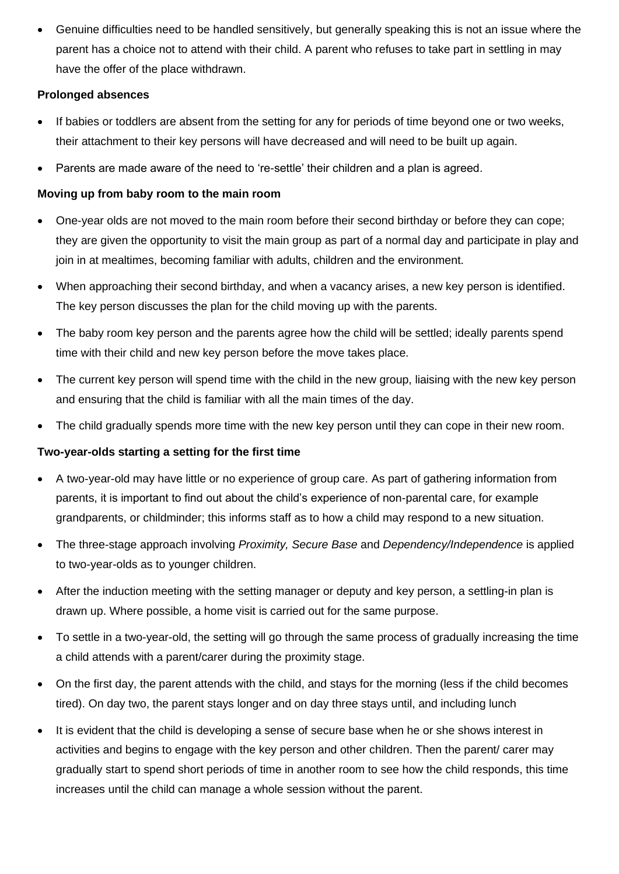• Genuine difficulties need to be handled sensitively, but generally speaking this is not an issue where the parent has a choice not to attend with their child. A parent who refuses to take part in settling in may have the offer of the place withdrawn.

# **Prolonged absences**

- If babies or toddlers are absent from the setting for any for periods of time beyond one or two weeks, their attachment to their key persons will have decreased and will need to be built up again.
- Parents are made aware of the need to 're-settle' their children and a plan is agreed.

# **Moving up from baby room to the main room**

- One-year olds are not moved to the main room before their second birthday or before they can cope; they are given the opportunity to visit the main group as part of a normal day and participate in play and join in at mealtimes, becoming familiar with adults, children and the environment.
- When approaching their second birthday, and when a vacancy arises, a new key person is identified. The key person discusses the plan for the child moving up with the parents.
- The baby room key person and the parents agree how the child will be settled; ideally parents spend time with their child and new key person before the move takes place.
- The current key person will spend time with the child in the new group, liaising with the new key person and ensuring that the child is familiar with all the main times of the day.
- The child gradually spends more time with the new key person until they can cope in their new room.

# **Two-year-olds starting a setting for the first time**

- A two-year-old may have little or no experience of group care. As part of gathering information from parents, it is important to find out about the child's experience of non-parental care, for example grandparents, or childminder; this informs staff as to how a child may respond to a new situation.
- The three-stage approach involving *Proximity, Secure Base* and *Dependency/Independence* is applied to two-year-olds as to younger children.
- After the induction meeting with the setting manager or deputy and key person, a settling-in plan is drawn up. Where possible, a home visit is carried out for the same purpose.
- To settle in a two-year-old, the setting will go through the same process of gradually increasing the time a child attends with a parent/carer during the proximity stage.
- On the first day, the parent attends with the child, and stays for the morning (less if the child becomes tired). On day two, the parent stays longer and on day three stays until, and including lunch
- It is evident that the child is developing a sense of secure base when he or she shows interest in activities and begins to engage with the key person and other children. Then the parent/ carer may gradually start to spend short periods of time in another room to see how the child responds, this time increases until the child can manage a whole session without the parent.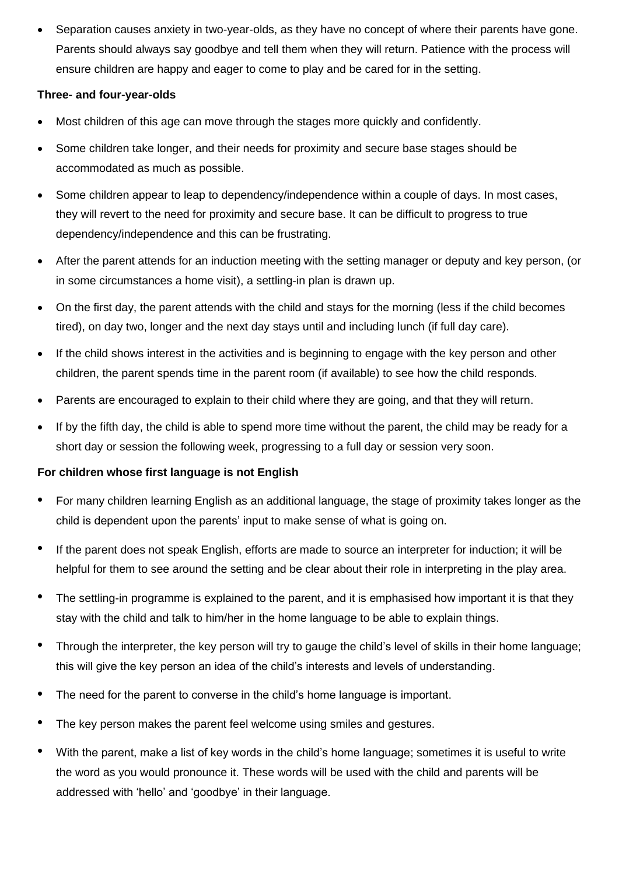• Separation causes anxiety in two-year-olds, as they have no concept of where their parents have gone. Parents should always say goodbye and tell them when they will return. Patience with the process will ensure children are happy and eager to come to play and be cared for in the setting.

# **Three- and four-year-olds**

- Most children of this age can move through the stages more quickly and confidently.
- Some children take longer, and their needs for proximity and secure base stages should be accommodated as much as possible.
- Some children appear to leap to dependency/independence within a couple of days. In most cases, they will revert to the need for proximity and secure base. It can be difficult to progress to true dependency/independence and this can be frustrating.
- After the parent attends for an induction meeting with the setting manager or deputy and key person, (or in some circumstances a home visit), a settling-in plan is drawn up.
- On the first day, the parent attends with the child and stays for the morning (less if the child becomes tired), on day two, longer and the next day stays until and including lunch (if full day care).
- If the child shows interest in the activities and is beginning to engage with the key person and other children, the parent spends time in the parent room (if available) to see how the child responds.
- Parents are encouraged to explain to their child where they are going, and that they will return.
- If by the fifth day, the child is able to spend more time without the parent, the child may be ready for a short day or session the following week, progressing to a full day or session very soon.

# **For children whose first language is not English**

- For many children learning English as an additional language, the stage of proximity takes longer as the child is dependent upon the parents' input to make sense of what is going on.
- If the parent does not speak English, efforts are made to source an interpreter for induction; it will be helpful for them to see around the setting and be clear about their role in interpreting in the play area.
- The settling-in programme is explained to the parent, and it is emphasised how important it is that they stay with the child and talk to him/her in the home language to be able to explain things.
- Through the interpreter, the key person will try to gauge the child's level of skills in their home language; this will give the key person an idea of the child's interests and levels of understanding.
- The need for the parent to converse in the child's home language is important.
- The key person makes the parent feel welcome using smiles and gestures.
- With the parent, make a list of key words in the child's home language; sometimes it is useful to write the word as you would pronounce it. These words will be used with the child and parents will be addressed with 'hello' and 'goodbye' in their language.